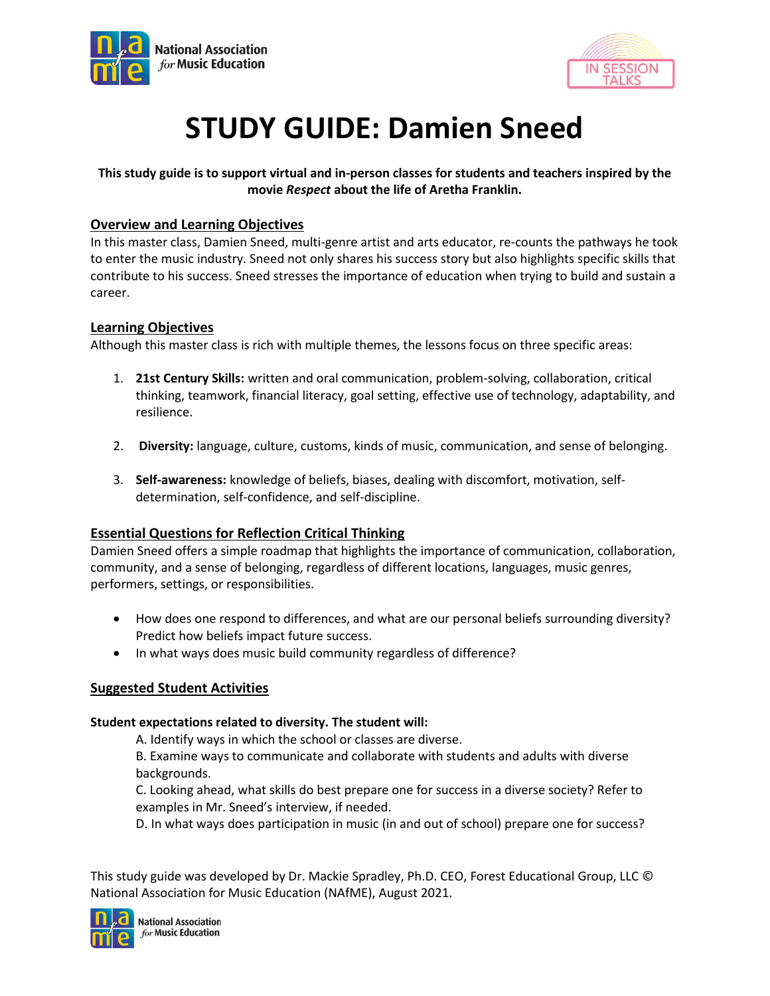



# **STUDY GUIDE: Damien Sneed**

# **This study guide is to support virtual and in-person classes for students and teachers inspired by the movie** *Respect* **about the life of Aretha Franklin.**

# **Overview and Learning Objectives**

In this master class, Damien Sneed, multi-genre artist and arts educator, re-counts the pathways he took to enter the music industry. Sneed not only shares his success story but also highlights specific skills that contribute to his success. Sneed stresses the importance of education when trying to build and sustain a career.

# **Learning Objectives**

Although this master class is rich with multiple themes, the lessons focus on three specific areas:

- 1. **21st Century Skills:** written and oral communication, problem-solving, collaboration, critical thinking, teamwork, financial literacy, goal setting, effective use of technology, adaptability, and resilience.
- 2. **Diversity:** language, culture, customs, kinds of music, communication, and sense of belonging.
- 3. **Self-awareness:** knowledge of beliefs, biases, dealing with discomfort, motivation, selfdetermination, self-confidence, and self-discipline.

# **Essential Questions for Reflection Critical Thinking**

Damien Sneed offers a simple roadmap that highlights the importance of communication, collaboration, community, and a sense of belonging, regardless of different locations, languages, music genres, performers, settings, or responsibilities.

- How does one respond to differences, and what are our personal beliefs surrounding diversity? Predict how beliefs impact future success.
- In what ways does music build community regardless of difference?

# **Suggested Student Activities**

# **Student expectations related to diversity. The student will:**

A. Identify ways in which the school or classes are diverse.

B. Examine ways to communicate and collaborate with students and adults with diverse backgrounds.

C. Looking ahead, what skills do best prepare one for success in a diverse society? Refer to examples in Mr. Sneed's interview, if needed.

D. In what ways does participation in music (in and out of school) prepare one for success?

This study guide was developed by Dr. Mackie Spradley, Ph.D. CEO, Forest Educational Group, LLC © National Association for Music Education (NAfME), August 2021.

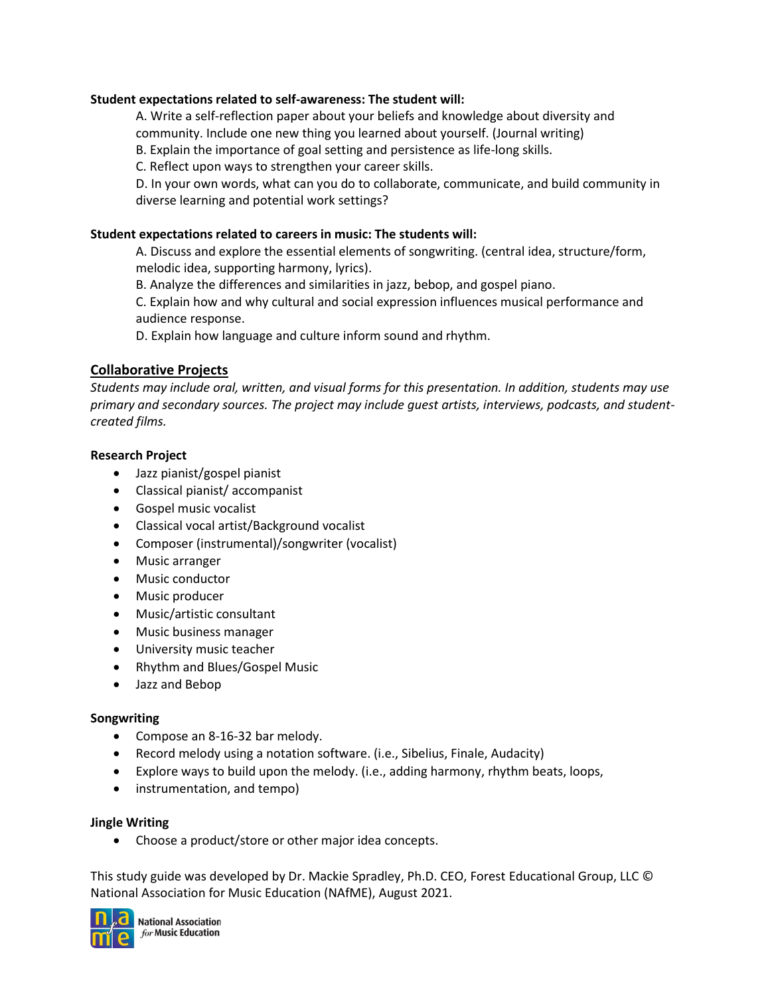## **Student expectations related to self-awareness: The student will:**

A. Write a self-reflection paper about your beliefs and knowledge about diversity and community. Include one new thing you learned about yourself. (Journal writing)

B. Explain the importance of goal setting and persistence as life-long skills.

C. Reflect upon ways to strengthen your career skills.

D. In your own words, what can you do to collaborate, communicate, and build community in diverse learning and potential work settings?

### **Student expectations related to careers in music: The students will:**

A. Discuss and explore the essential elements of songwriting. (central idea, structure/form, melodic idea, supporting harmony, lyrics).

B. Analyze the differences and similarities in jazz, bebop, and gospel piano.

C. Explain how and why cultural and social expression influences musical performance and audience response.

D. Explain how language and culture inform sound and rhythm.

# **Collaborative Projects**

*Students may include oral, written, and visual forms for this presentation. In addition, students may use primary and secondary sources. The project may include guest artists, interviews, podcasts, and studentcreated films.*

#### **Research Project**

- Jazz pianist/gospel pianist
- Classical pianist/ accompanist
- Gospel music vocalist
- Classical vocal artist/Background vocalist
- Composer (instrumental)/songwriter (vocalist)
- Music arranger
- Music conductor
- Music producer
- Music/artistic consultant
- Music business manager
- University music teacher
- Rhythm and Blues/Gospel Music
- Jazz and Bebop

#### **Songwriting**

- Compose an 8-16-32 bar melody.
- Record melody using a notation software. (i.e., Sibelius, Finale, Audacity)
- Explore ways to build upon the melody. (i.e., adding harmony, rhythm beats, loops,
- instrumentation, and tempo)

#### **Jingle Writing**

• Choose a product/store or other major idea concepts.

This study guide was developed by Dr. Mackie Spradley, Ph.D. CEO, Forest Educational Group, LLC © National Association for Music Education (NAfME), August 2021.